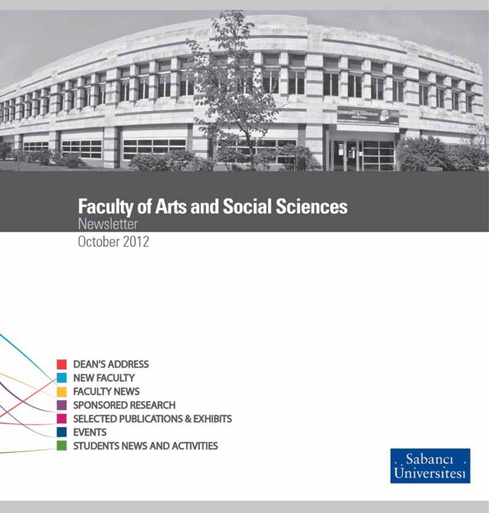

# **Faculty of Arts and Social Sciences**

October 2012



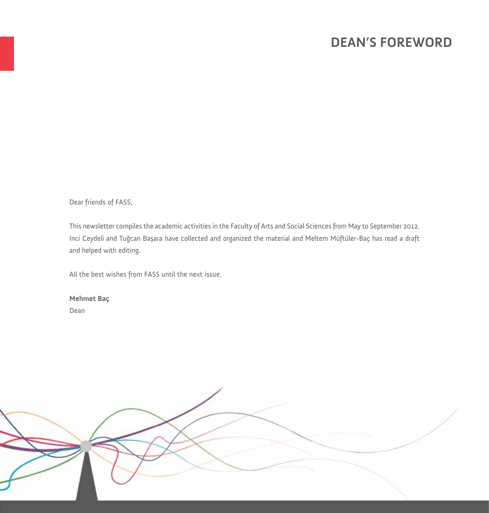## **DEAN'S FOREWORD**

Dear friends of FASS,

This newsletter compiles the academic activities in the Faculty of Arts and Social Sciences from May to September 2012. Inci Ceydeli and Tuğcan Başara have collected and organized the material and Meltem Müftüler-Baç has read a draft and helped with editing.

All the best wishes from FASS until the next issue.

**Mehmet Baç** Dean

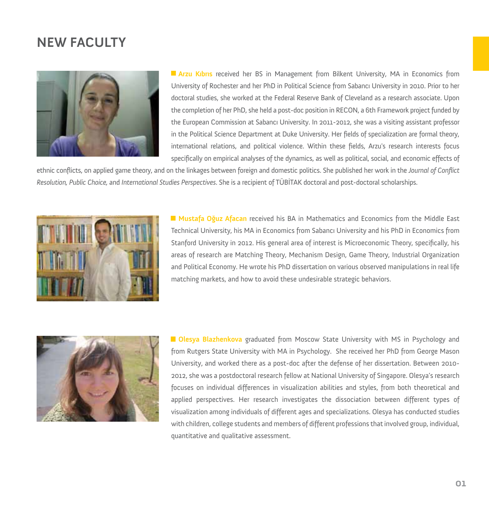## **NEW FACULTY**



**Arzu Kıbrıs** received her BS in Management from Bilkent University, MA in Economics from University of Rochester and her PhD in Political Science from Sabancı University in 2010. Prior to her doctoral studies, she worked at the Federal Reserve Bank of Cleveland as a research associate. Upon the completion of her PhD, she held a post-doc position in RECON, a 6th Framework project funded by the European Commission at Sabancı University. In 2011-2012, she was a visiting assistant professor in the Political Science Department at Duke University. Her fields of specialization are formal theory, international relations, and political violence. Within these fields, Arzu's research interests focus specifically on empirical analyses of the dynamics, as well as political, social, and economic effects of

ethnic conflicts, on applied game theory, and on the linkages between foreign and domestic politics. She published her work in the *Journal of Conflict Resolution, Public Choice,* and *International Studies Perspectives*. She is a recipient of TÜBİTAK doctoral and post-doctoral scholarships.



**Mustafa Oğuz Afacan** received his BA in Mathematics and Economics from the Middle East Technical University, his MA in Economics from Sabancı University and his PhD in Economics from Stanford University in 2012. His general area of interest is Microeconomic Theory, specifically, his areas of research are Matching Theory, Mechanism Design, Game Theory, Industrial Organization and Political Economy. He wrote his PhD dissertation on various observed manipulations in real life matching markets, and how to avoid these undesirable strategic behaviors.



**Olesya Blazhenkova** graduated from Moscow State University with MS in Psychology and from Rutgers State University with MA in Psychology. She received her PhD from George Mason University, and worked there as a post-doc after the defense of her dissertation. Between 2010- 2012, she was a postdoctoral research fellow at National University of Singapore. Olesya's research focuses on individual differences in visualization abilities and styles, from both theoretical and applied perspectives. Her research investigates the dissociation between different types of visualization among individuals of different ages and specializations. Olesya has conducted studies with children, college students and members of different professions that involved group, individual, quantitative and qualitative assessment.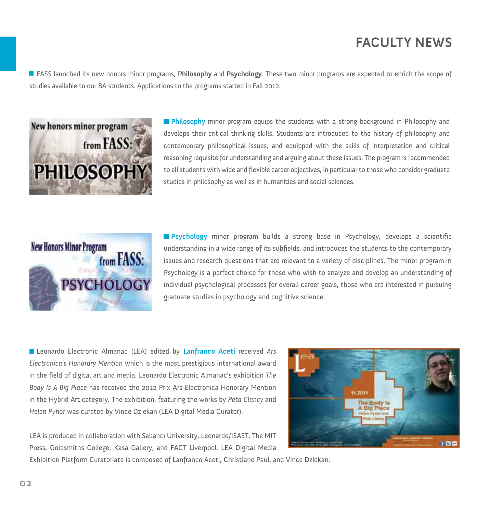# **FACULTY NEWS**

FASS launched its new honors minor programs, **Philosophy** and **Psychology**. These two minor programs are expected to enrich the scope of studies available to our BA students. Applications to the programs started in Fall 2012.



**Philosophy** minor program equips the students with a strong background in Philosophy and develops their critical thinking skills. Students are introduced to the history of philosophy and contemporary philosophical issues, and equipped with the skills of interpretation and critical reasoning requisite for understanding and arguing about these issues. The program is recommended to all students with wide and flexible career objectives, in particular to those who consider graduate studies in philosophy as well as in humanities and social sciences.



**Psychology** minor program builds a strong base in Psychology, develops a scientific understanding in a wide range of its subfields, and introduces the students to the contemporary issues and research questions that are relevant to a variety of disciplines. The minor program in Psychology is a perfect choice for those who wish to analyze and develop an understanding of individual psychological processes for overall career goals, those who are interested in pursuing graduate studies in psychology and cognitive science.

Leonardo Electronic Almanac (LEA) edited by **Lanfranco Aceti** received *Ars Electronica's Honorary Mention* which is the most prestigious international award in the field of digital art and media. Leonardo Electronic Almanac's exhibition *The Body Is A Big Place* has received the 2012 Prix Ars Electronica Honorary Mention in the Hybrid Art category. The exhibition, featuring the works by *Peta Clancy* and *Helen Pynor* was curated by Vince Dziekan (LEA Digital Media Curator).

LEA is produced in collaboration with Sabancı University, Leonardo/ISAST, The MIT Press, Goldsmiths College, Kasa Gallery, and FACT Liverpool. LEA Digital Media



Exhibition Platform Curatoriate is composed of Lanfranco Aceti, Christiane Paul, and Vince Dziekan.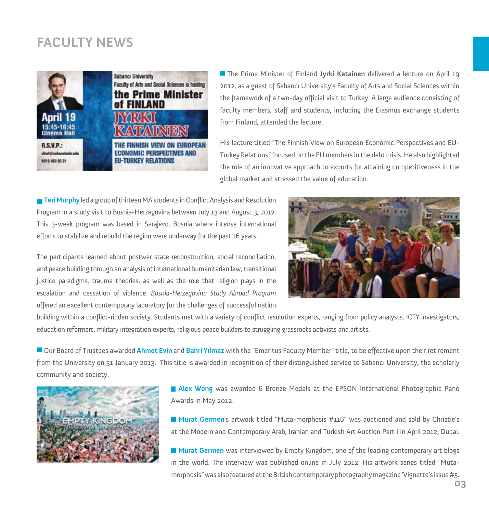# **FACULTY NEWS**



The Prime Minister of Finland **Jyrki Katainen** delivered a lecture on April 19 2012, as a guest of Sabancı University's Faculty of Arts and Social Sciences within the framework of a two-day official visit to Turkey. A large audience consisting of faculty members, staff and students, including the Erasmus exchange students from Finland, attended the lecture.

His lecture titled "The Finnish View on European Economic Perspectives and EU-Turkey Relations" focused on the EU members in the debt crisis. He also highlighted the role of an innovative approach to exports for attaining competitiveness in the global market and stressed the value of education.

**Teri Murphy**led a group of thirteen MA students in Conflict Analysis and Resolution Program in a study visit to Bosnia-Herzegovina between July 13 and August 3, 2012. This 3-week program was based in Sarajevo, Bosnia where intense international efforts to stabilize and rebuild the region were underway for the past 16 years.

The participants learned about postwar state reconstruction, social reconciliation, and peace building through an analysis of international humanitarian law, transitional justice paradigms, trauma theories, as well as the role that religion plays in the escalation and cessation of violence. *Bosnia-Herzegovina Study Abroad Program* offered an excellent contemporary laboratory for the challenges of successful nation



building within a conflict-ridden society. Students met with a variety of conflict resolution experts, ranging from policy analysts, ICTY investigators, education reformers, military integration experts, religious peace builders to struggling grassroots activists and artists.

Our Board of Trustees awarded **Ahmet Evin** and **Bahri Yılmaz** with the "Emeritus Faculty Member" title, to be effective upon their retirement from the University on 31 January 2013. This title is awarded in recognition of their distinguished service to Sabancı University, the scholarly community and society.



**Alex Wong** was awarded 6 Bronze Medals at the EPSON International Photographic Pano Awards in May 2012.

**Murat Germen**'s artwork titled "Muta-morphosis #116" was auctioned and sold by Christie's at the Modern and Contemporary Arab, Iranian and Turkish Art Auction Part I in April 2012, Dubai.

**Murat Germen** was interviewed by Empty Kingdom, one of the leading contemporary art blogs in the world. The interview was published online in July 2012. His artwork series titled "Mutamorphosis" was also featured at the British contemporary photography magazine 'Vignette's issue #5.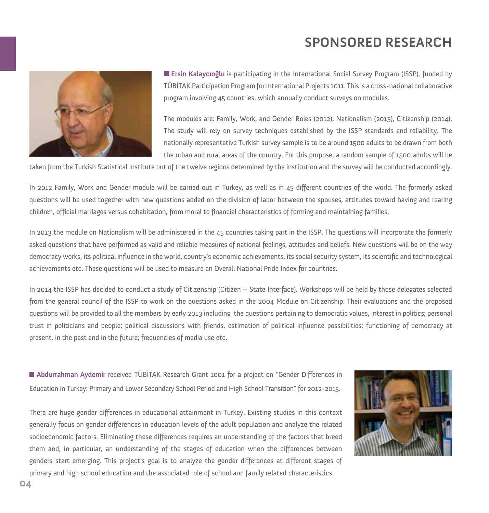# **SPONSORED RESEARCH**



**Ersin Kalaycıoğlu** is participating in the International Social Survey Program (ISSP), funded by TÜBİTAK Participation Program for International Projects 1011. This is a cross-national collaborative program involving 45 countries, which annually conduct surveys on modules.

The modules are: Family, Work, and Gender Roles (2012), Nationalism (2013), Citizenship (2014). The study will rely on survey techniques established by the ISSP standards and reliability. The nationally representative Turkish survey sample is to be around 1500 adults to be drawn from both the urban and rural areas of the country. For this purpose, a random sample of 1500 adults will be

taken from the Turkish Statistical Institute out of the twelve regions determined by the institution and the survey will be conducted accordingly.

In 2012 Family, Work and Gender module will be carried out in Turkey, as well as in 45 different countries of the world. The formerly asked questions will be used together with new questions added on the division of labor between the spouses, attitudes toward having and rearing children, official marriages versus cohabitation, from moral to financial characteristics of forming and maintaining families.

In 2013 the module on Nationalism will be administered in the 45 countries taking part in the ISSP. The questions will incorporate the formerly asked questions that have performed as valid and reliable measures of national feelings, attitudes and beliefs. New questions will be on the way democracy works, its political influence in the world, country's economic achievements, its social security system, its scientific and technological achievements etc. These questions will be used to measure an Overall National Pride Index for countries.

In 2014 the ISSP has decided to conduct a study of Citizenship (Citizen – State Interface). Workshops will be held by those delegates selected from the general council of the ISSP to work on the questions asked in the 2004 Module on Citizenship. Their evaluations and the proposed questions will be provided to all the members by early 2013 including the questions pertaining to democratic values, interest in politics; personal trust in politicians and people; political discussions with friends, estimation of political influence possibilities; functioning of democracy at present, in the past and in the future; frequencies of media use etc.

**Abdurrahman Aydemir** received TÜBİTAK Research Grant 1001 for a project on "Gender Differences in Education in Turkey: Primary and Lower Secondary School Period and High School Transition" for 2012-2015.

There are huge gender differences in educational attainment in Turkey. Existing studies in this context generally focus on gender differences in education levels of the adult population and analyze the related socioeconomic factors. Eliminating these differences requires an understanding of the factors that breed them and, in particular, an understanding of the stages of education when the differences between genders start emerging. This project's goal is to analyze the gender differences at different stages of primary and high school education and the associated role of school and family related characteristics.

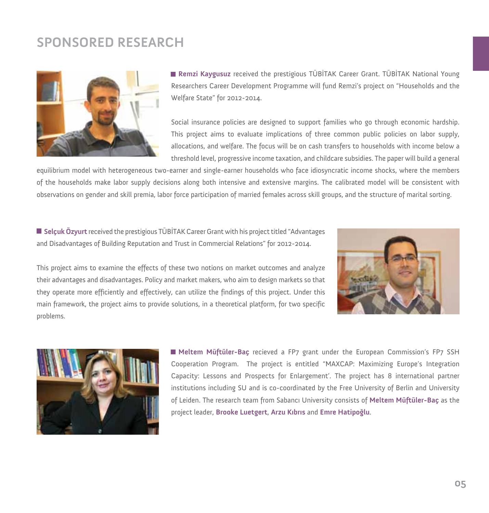## **SPONSORED RESEARCH**



**Remzi Kaygusuz** received the prestigious TÜBİTAK Career Grant. TÜBİTAK National Young Researchers Career Development Programme will fund Remzi's project on "Households and the Welfare State" for 2012-2014.

Social insurance policies are designed to support families who go through economic hardship. This project aims to evaluate implications of three common public policies on labor supply, allocations, and welfare. The focus will be on cash transfers to households with income below a threshold level, progressive income taxation, and childcare subsidies. The paper will build a general

equilibrium model with heterogeneous two-earner and single-earner households who face idiosyncratic income shocks, where the members of the households make labor supply decisions along both intensive and extensive margins. The calibrated model will be consistent with observations on gender and skill premia, labor force participation of married females across skill groups, and the structure of marital sorting.

**Selçuk Özyurt** received the prestigious TÜBİTAK Career Grant with his project titled "Advantages and Disadvantages of Building Reputation and Trust in Commercial Relations" for 2012-2014.



This project aims to examine the effects of these two notions on market outcomes and analyze their advantages and disadvantages. Policy and market makers, who aim to design markets so that they operate more efficiently and effectively, can utilize the findings of this project. Under this main framework, the project aims to provide solutions, in a theoretical platform, for two specific problems.



**Meltem Müftüler-Baç** recieved a FP7 grant under the European Commission's FP7 SSH Cooperation Program. The project is entitled "MAXCAP: Maximizing Europe's Integration Capacity: Lessons and Prospects for Enlargement'. The project has 8 international partner institutions including SU and is co-coordinated by the Free University of Berlin and University of Leiden. The research team from Sabancı University consists of **Meltem Müftüler-Baç** as the project leader, **Brooke Luetgert**, **Arzu Kıbrıs** and **Emre Hatipoğlu**.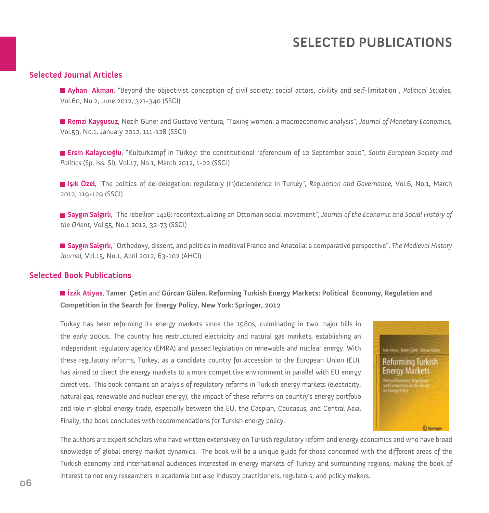## **SELECTED PUBLICATIONS**

#### **Selected Journal Articles**

**Ayhan Akman**, "Beyond the objectivist conception of civil society: social actors, civility and self-limitation", *Political Studies,*  Vol.60, No.2, June 2012, 321-340 (SSCI)

**Remzi Kaygusuz**, Nezih Güner and Gustavo Ventura, "Taxing women: a macroeconomic analysis", *Journal of Monetary Economics,*  Vol.59, No.1, January 2012, 111-128 (SSCI)

**Ersin Kalaycıoğlu**, "Kulturkampf in Turkey: the constitutional referendum of 12 September 2010", *South European Society and Politics* (Sp. Iss. SI), Vol.17, No.1, March 2012, 1-22 (SSCI)

**Işık Özel**, "The politics of de-delegation: regulatory (in)dependence in Turkey", *Regulation and Governance,* Vol.6, No.1, March 2012, 119-129 (SSCI)

**Saygın Salgırlı**, "The rebellion 1416: recontextualizing an Ottoman social movement", *Journal of the Economic and Social History of the Orient*, Vol.55, No.1 2012, 32-73 (SSCI)

**Saygın Salgırlı**, "Orthodoxy, dissent, and politics in medieval France and Anatolia: a comparative perspective", *The Medieval History Journal,* Vol.15, No.1, April 2012, 63-102 (AHCI)

#### **Selected Book Publications**

**İzak Atiyas**, **Tamer Çetin** and **Gürcan Gülen. Reforming Turkish Energy Markets: Political Economy, Regulation and Competition in the Search for Energy Policy, New York: Springer, 2012**

Turkey has been reforming its energy markets since the 1980s, culminating in two major bills in the early 2000s. The country has restructured electricity and natural gas markets, establishing an independent regulatory agency (EMRA) and passed legislation on renewable and nuclear energy. With these regulatory reforms, Turkey, as a candidate country for accession to the European Union (EU), has aimed to direct the energy markets to a more competitive environment in parallel with EU energy directives. This book contains an analysis of regulatory reforms in Turkish energy markets (electricity, natural gas, renewable and nuclear energy), the impact of these reforms on country's energy portfolio and role in global energy trade, especially between the EU, the Caspian, Caucasus, and Central Asia. Finally, the book concludes with recommendations for Turkish energy policy.



The authors are expert scholars who have written extensively on Turkish regulatory reform and energy economics and who have broad knowledge of global energy market dynamics. The book will be a unique guide for those concerned with the different areas of the Turkish economy and international audiences interested in energy markets of Turkey and surrounding regions, making the book of interest to not only researchers in academia but also industry practitioners, regulators, and policy makers.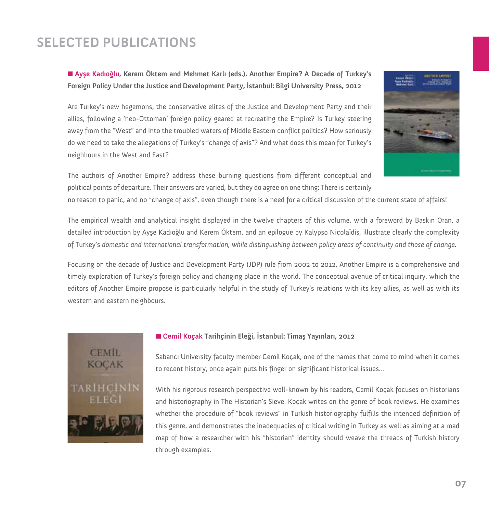# **SELECTED PUBLICATIONS**

**Ayşe Kadıoğlu, Kerem Öktem and Mehmet Karlı (eds.). Another Empire? A Decade of Turkey's Foreign Policy Under the Justice and Development Party, İstanbul: Bilgi University Press, 2012**

Are Turkey's new hegemons, the conservative elites of the Justice and Development Party and their allies, following a 'neo-Ottoman' foreign policy geared at recreating the Empire? Is Turkey steering away from the "West" and into the troubled waters of Middle Eastern conflict politics? How seriously do we need to take the allegations of Turkey's "change of axis"? And what does this mean for Turkey's neighbours in the West and East?



The authors of Another Empire? address these burning questions from different conceptual and political points of departure. Their answers are varied, but they do agree on one thing: There is certainly

no reason to panic, and no "change of axis", even though there is a need for a critical discussion of the current state of affairs!

The empirical wealth and analytical insight displayed in the twelve chapters of this volume, with a foreword by Baskın Oran, a detailed introduction by Ayşe Kadıoğlu and Kerem Öktem, and an epilogue by Kalypso Nicolaïdis, illustrate clearly the complexity of Turkey's *domestic and international transformation, while distinguishing between policy areas of continuity and those of change.*

Focusing on the decade of Justice and Development Party (JDP) rule from 2002 to 2012, Another Empire is a comprehensive and timely exploration of Turkey's foreign policy and changing place in the world. The conceptual avenue of critical inquiry, which the editors of Another Empire propose is particularly helpful in the study of Turkey's relations with its key allies, as well as with its western and eastern neighbours.



#### **Cemil Koçak Tarihçinin Eleği, İstanbul: Timaş Yayınları, 2012**

Sabancı University faculty member Cemil Koçak, one of the names that come to mind when it comes to recent history, once again puts his finger on significant historical issues…

With his rigorous research perspective well-known by his readers, Cemil Koçak focuses on historians and historiography in The Historian's Sieve. Koçak writes on the genre of book reviews. He examines whether the procedure of "book reviews" in Turkish historiography fulfills the intended definition of this genre, and demonstrates the inadequacies of critical writing in Turkey as well as aiming at a road map of how a researcher with his "historian" identity should weave the threads of Turkish history through examples.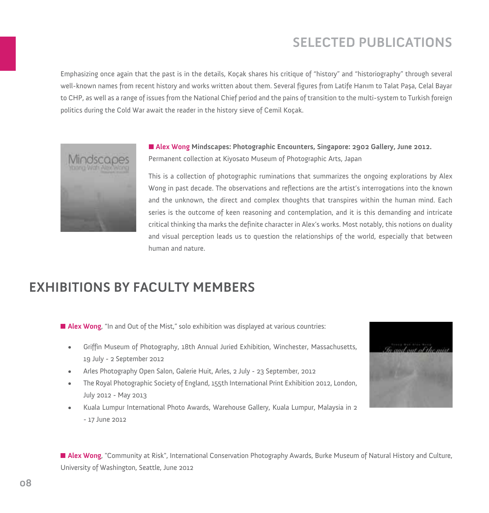# **SELECTED PUBLICATIONS**

Emphasizing once again that the past is in the details, Koçak shares his critique of "history" and "historiography" through several well-known names from recent history and works written about them. Several figures from Latife Hanım to Talat Paşa, Celal Bayar to CHP, as well as a range of issues from the National Chief period and the pains of transition to the multi-system to Turkish foreign politics during the Cold War await the reader in the history sieve of Cemil Koçak.



**Alex Wong Mindscapes: Photographic Encounters, Singapore: 2902 Gallery, June 2012.**  Permanent collection at Kiyosato Museum of Photographic Arts, Japan

This is a collection of photographic ruminations that summarizes the ongoing explorations by Alex Wong in past decade. The observations and reflections are the artist's interrogations into the known and the unknown, the direct and complex thoughts that transpires within the human mind. Each series is the outcome of keen reasoning and contemplation, and it is this demanding and intricate critical thinking tha marks the definite character in Alex's works. Most notably, this notions on duality and visual perception leads us to question the relationships of the world, especially that between human and nature.

## **EXHIBITIONS BY FACULTY MEMBERS**

**Alex Wong**, "In and Out of the Mist," solo exhibition was displayed at various countries:

- Griffin Museum of Photography, 18th Annual Juried Exhibition, Winchester, Massachusetts, 19 July - 2 September 2012
- Arles Photography Open Salon, Galerie Huit, Arles, 2 July 23 September, 2012
- The Royal Photographic Society of England, 155th International Print Exhibition 2012, London, July 2012 - May 2013
- • Kuala Lumpur International Photo Awards, Warehouse Gallery, Kuala Lumpur, Malaysia in 2 - 17 June 2012



**Alex Wong**, "Community at Risk", International Conservation Photography Awards, Burke Museum of Natural History and Culture, University of Washington, Seattle, June 2012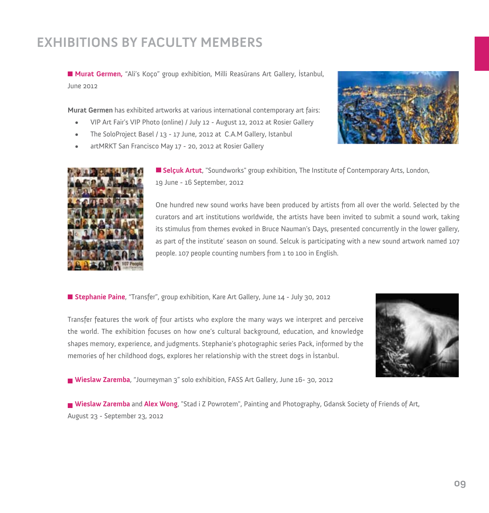# **EXHIBITIONS BY FACULTY MEMBERS**

**Murat Germen,** "Ali's Koço" group exhibition, Milli Reasürans Art Gallery, İstanbul, June 2012

**Murat Germen** has exhibited artworks at various international contemporary art fairs:

- VIP Art Fair's VIP Photo (online) / July 12 August 12, 2012 at Rosier Gallery
- The SoloProject Basel / 13 17 June, 2012 at C.A.M Gallery, Istanbul
- artMRKT San Francisco May 17 20, 2012 at Rosier Gallery





**Selçuk Artut**, "Soundworks" group exhibition, The Institute of Contemporary Arts, London, 19 June - 16 September, 2012

One hundred new sound works have been produced by artists from all over the world. Selected by the curators and art institutions worldwide, the artists have been invited to submit a sound work, taking its stimulus from themes evoked in Bruce Nauman's Days, presented concurrently in the lower gallery, as part of the institute' season on sound. Selcuk is participating with a new sound artwork named 107 people. 107 people counting numbers from 1 to 100 in English.

**Stephanie Paine**, "Transfer", group exhibition, Kare Art Gallery, June 14 - July 30, 2012

Transfer features the work of four artists who explore the many ways we interpret and perceive the world. The exhibition focuses on how one's cultural background, education, and knowledge shapes memory, experience, and judgments. Stephanie's photographic series Pack, informed by the memories of her childhood dogs, explores her relationship with the street dogs in İstanbul.



**Wieslaw Zaremba**, "Journeyman 3" solo exhibition, FASS Art Gallery, June 16- 30, 2012

**Wieslaw Zaremba** and **Alex Wong**, "Stad i Z Powrotem", Painting and Photography, Gdansk Society of Friends of Art, August 23 - September 23, 2012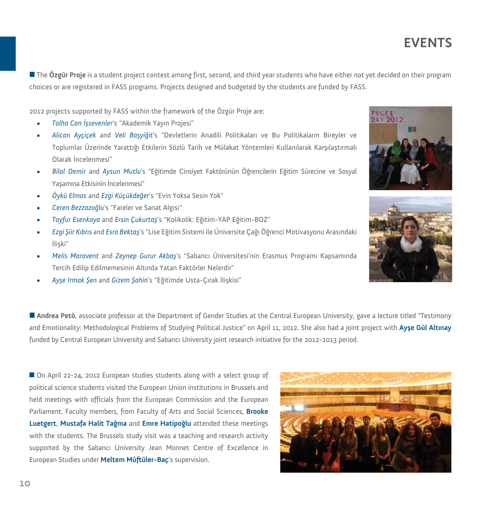The **Özgür Proje** is a student project contest among first, second, and third year students who have either not yet decided on their program choices or are registered in FASS programs. Projects designed and budgeted by the students are funded by FASS.

2012 projects supported by FASS within the framework of the Özgür Proje are:

- *• Talha Can İşsevenler*'s "Akademik Yayın Projesi"
- *• Alican Ayçiçek* and *Veli Başyiğit*'s "Devletlerin Anadili Politikaları ve Bu Politikaların Bireyler ve Toplumlar Üzerinde Yarattığı Etkilerin Sözlü Tarih ve Mülakat Yöntemleri Kullanılarak Karşılaştırmalı Olarak İncelenmesi"
- *• Bilal Demir* and *Aysun Mutlu*'s "Eğitimde Cinsiyet Faktörünün Öğrencilerin Eğitim Sürecine ve Sosyal Yaşamına Etkisinin İncelenmesi"
- *• Öykü Elmas* and *Ezgi Küçükdeğer*'s "Evin Yoksa Sesin Yok"
- *• Ceren Bezzazoğlu*'s "Fareler ve Sanat Algısı"
- *• Tayfur Esenkaya* and *Ersin Çukurtaş*'s "Kolikolik: Eğitim-YAP Eğitim-BOZ"
- *• Ezgi Şiir Kıbrıs* and *Esra Bektaş*'s "Lise Eğitim Sistemi ile Üniversite Çağı Öğrenci Motivasyonu Arasındaki İlişki"
- *• Melis Maravent* and *Zeynep Gurur Akbaş*'s "Sabancı Üniversitesi'nin Erasmus Programı Kapsamında Tercih Edilip Edilmemesinin Altında Yatan Faktörler Nelerdir"
- *• Ayşe Irmak Şen* and *Gizem Şahin*'s "Eğitimde Usta-Çırak İlişkisi"

**Andrea Petö**, associate professor at the Department of Gender Studies at the Central European University, gave a lecture titled "Testimony and Emotionality: Methodological Problems of Studying Political Justice" on April 11, 2012. She also had a joint project with **Ayşe Gül Altınay**  funded by Central European University and Sabancı University joint research initiative for the 2012-2013 period.

■ On April 22-24, 2012 European studies students along with a select group of political science students visited the European Union institutions in Brussels and held meetings with officials from the European Commission and the European Parliament. Faculty members, from Faculty of Arts and Social Sciences, **Brooke Luetgert**, **Mustafa Halit Tağma** and **Emre Hatipoğlu** attended these meetings with the students. The Brussels study visit was a teaching and research activity supported by the Sabancı University Jean Monnet Centre of Excellence in European Studies under **Meltem Müftüler-Baç**'s supervision.





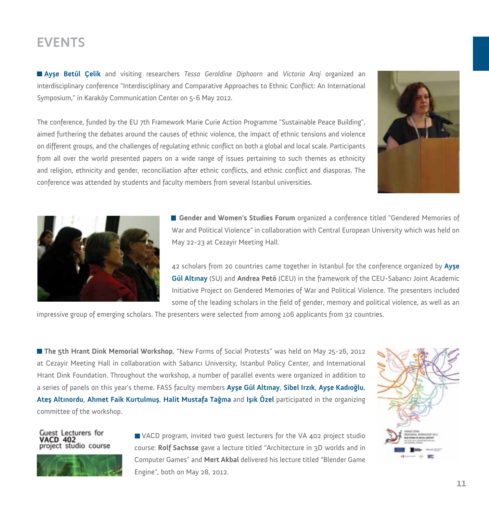**Ayşe Betül Çelik** and visiting researchers *Tessa Geraldine Diphoorn* and *Victoria Araj* organized an interdisciplinary conference "Interdisciplinary and Comparative Approaches to Ethnic Conflict: An International Symposium," in Karaköy Communication Center on 5-6 May 2012.

The conference, funded by the EU 7th Framework Marie Curie Action Programme "Sustainable Peace Building", aimed furthering the debates around the causes of ethnic violence, the impact of ethnic tensions and violence on different groups, and the challenges of regulating ethnic conflict on both a global and local scale. Participants from all over the world presented papers on a wide range of issues pertaining to such themes as ethnicity and religion, ethnicity and gender, reconciliation after ethnic conflicts, and ethnic conflict and diasporas. The conference was attended by students and faculty members from several Istanbul universities.





**Gender and Women's Studies Forum** organized a conference titled "Gendered Memories of War and Political Violence" in collaboration with Central European University which was held on May 22-23 at Cezayir Meeting Hall.

42 scholars from 20 countries came together in Istanbul for the conference organized by **Ayşe Gül Altınay** (SU) and **Andrea Petö** (CEU) in the framework of the CEU-Sabancı Joint Academic Initiative Project on Gendered Memories of War and Political Violence. The presenters included some of the leading scholars in the field of gender, memory and political violence, as well as an

impressive group of emerging scholars. The presenters were selected from among 106 applicants from 32 countries.

**The 5th Hrant Dink Memorial Workshop**, "New Forms of Social Protests" was held on May 25-26, 2012 at Cezayir Meeting Hall in collaboration with Sabancı University, Istanbul Policy Center, and International Hrant Dink Foundation. Throughout the workshop, a number of parallel events were organized in addition to a series of panels on this year's theme. FASS faculty members **Ayşe Gül Altınay**, **Sibel Irzık**, **Ayşe Kadıoğlu**, **Ateş Altınordu**, **Ahmet Faik Kurtulmuş**, **Halit Mustafa Tağma** and **Işık Özel** participated in the organizing committee of the workshop.

**Guest Lecturers for** CD 402 project studio course



VACD program, invited two guest lecturers for the VA 402 project studio course: **Rolf Sachsse** gave a lecture titled "Architecture in 3D worlds and in Computer Games" and **Mert Akbal** delivered his lecture titled "Blender Game Engine", both on May 28, 2012.

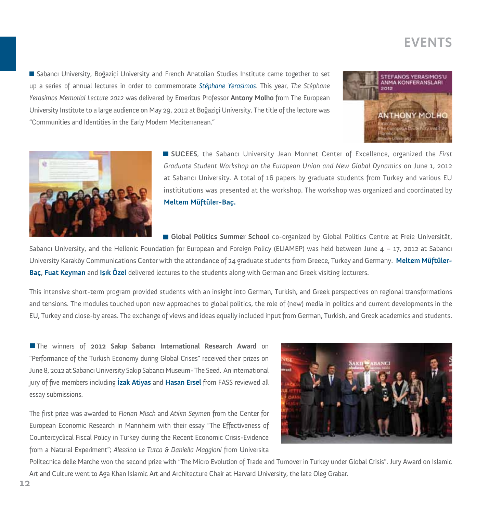Sabancı University, Boğaziçi University and French Anatolian Studies Institute came together to set up a series of annual lectures in order to commemorate *Stéphane Yerasimos*. This year, *The Stéphane Yerasimos Memorial Lecture 2012* was delivered by Emeritus Professor **Antony Molho** from The European University Institute to a large audience on May 29, 2012 at Boğaziçi University. The title of the lecture was "Communities and Identities in the Early Modern Mediterranean."





**SUCEES**, the Sabancı University Jean Monnet Center of Excellence, organized the *First Graduate Student Workshop on the European Union and New Global Dynamics* on June 1, 2012 at Sabancı University. A total of 16 papers by graduate students from Turkey and various EU instititutions was presented at the workshop. The workshop was organized and coordinated by **Meltem Müftüler-Baç.**

**Global Politics Summer School** co-organized by Global Politics Centre at Freie Universität,

Sabancı University, and the Hellenic Foundation for European and Foreign Policy (ELIAMEP) was held between June 4 – 17, 2012 at Sabancı University Karaköy Communications Center with the attendance of 24 graduate students from Greece, Turkey and Germany. **Meltem Müftüler-Baç**, **Fuat Keyman** and **Işık Özel** delivered lectures to the students along with German and Greek visiting lecturers.

This intensive short-term program provided students with an insight into German, Turkish, and Greek perspectives on regional transformations and tensions. The modules touched upon new approaches to global politics, the role of (new) media in politics and current developments in the EU, Turkey and close-by areas. The exchange of views and ideas equally included input from German, Turkish, and Greek academics and students.

The winners of **2012 Sakıp Sabancı International Research Award** on "Performance of the Turkish Economy during Global Crises" received their prizes on June 8, 2012 at Sabancı University Sakıp Sabancı Museum- The Seed. An international jury of five members including **İzak Atiyas** and **Hasan Ersel** from FASS reviewed all essay submissions.

The first prize was awarded to *Florian Misch* and *Atılım Seymen* from the Center for European Economic Research in Mannheim with their essay "The Effectiveness of Countercyclical Fiscal Policy in Turkey during the Recent Economic Crisis-Evidence from a Natural Experiment"; *Alessina Le Turco & Daniella Maggioni* from Universita



Politecnica delle Marche won the second prize with "The Micro Evolution of Trade and Turnover in Turkey under Global Crisis". Jury Award on Islamic Art and Culture went to Aga Khan Islamic Art and Architecture Chair at Harvard University, the late Oleg Grabar.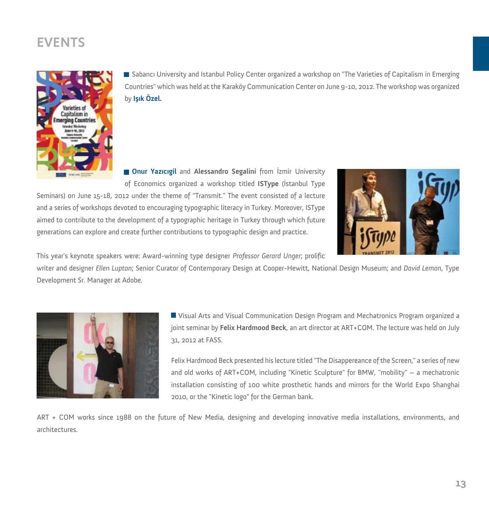

Sabancı University and Istanbul Policy Center organized a workshop on "The Varieties of Capitalism in Emerging Countries" which was held at the Karaköy Communication Center on June 9-10, 2012. The workshop was organized by **Işık Özel.**

**Onur Yazıcıgil** and **Alessandro Segalini** from İzmir University of Economics organized a workshop titled **ISType** (İstanbul Type

Seminars) on June 15-18, 2012 under the theme of "Transmit." The event consisted of a lecture and a series of workshops devoted to encouraging typographic literacy in Turkey. Moreover, ISType aimed to contribute to the development of a typographic heritage in Turkey through which future generations can explore and create further contributions to typographic design and practice.



This year's keynote speakers were: Award-winning type designer *Professor Gerard Unger*; prolific

writer and designer *Ellen Lupton*; Senior Curator of Contemporary Design at Cooper-Hewitt, National Design Museum; and *David Lemon*, Type Development Sr. Manager at Adobe.



Visual Arts and Visual Communication Design Program and Mechatronics Program organized a joint seminar by **Felix Hardmood Beck**, an art director at ART+COM. The lecture was held on July 31, 2012 at FASS.

Felix Hardmood Beck presented his lecture titled "The Disappereance of the Screen," a series of new and old works of ART+COM, including "Kinetic Sculpture" for BMW, "mobility" – a mechatronic installation consisting of 100 white prosthetic hands and mirrors for the World Expo Shanghai 2010, or the "Kinetic logo" for the German bank.

ART + COM works since 1988 on the future of New Media, designing and developing innovative media installations, environments, and architectures.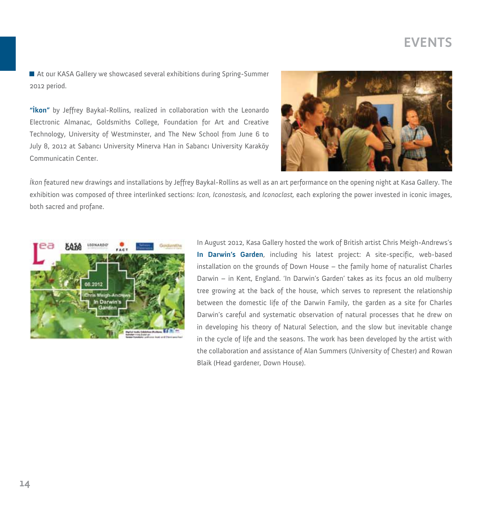At our KASA Gallery we showcased several exhibitions during Spring-Summer 2012 period.

**"İkon"** by Jeffrey Baykal-Rollins, realized in collaboration with the Leonardo Electronic Almanac, Goldsmiths College, Foundation for Art and Creative Technology, University of Westminster, and The New School from June 6 to July 8, 2012 at Sabancı University Minerva Han in Sabancı University Karaköy Communicatin Center.



*İkon* featured new drawings and installations by Jeffrey Baykal-Rollins as well as an art performance on the opening night at Kasa Gallery. The exhibition was composed of three interlinked sections: *Icon, Iconostasis,* and *Iconoclast,* each exploring the power invested in iconic images, both sacred and profane.



In August 2012, Kasa Gallery hosted the work of British artist Chris Meigh-Andrews's **In Darwin's Garden**, including his latest project: A site-specific, web-based installation on the grounds of Down House – the family home of naturalist Charles Darwin – in Kent, England. 'In Darwin's Garden' takes as its focus an old mulberry tree growing at the back of the house, which serves to represent the relationship between the domestic life of the Darwin Family, the garden as a site for Charles Darwin's careful and systematic observation of natural processes that he drew on in developing his theory of Natural Selection, and the slow but inevitable change in the cycle of life and the seasons. The work has been developed by the artist with the collaboration and assistance of Alan Summers (University of Chester) and Rowan Blaik (Head gardener, Down House).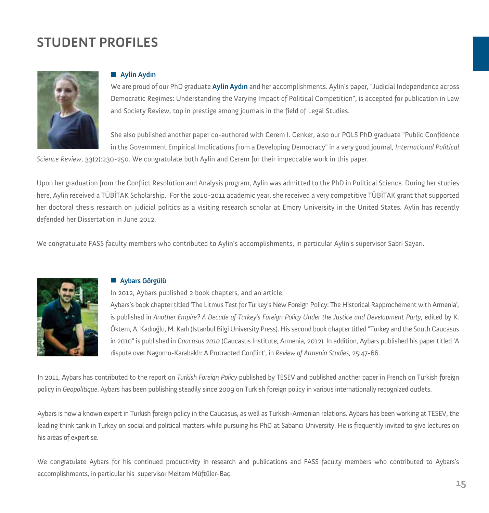# **STUDENT PROFILES**



#### **Aylin Aydın**

We are proud of our PhD graduate **Aylin Aydın** and her accomplishments. Aylin's paper, "Judicial Independence across Democratic Regimes: Understanding the Varying Impact of Political Competition", is accepted for publication in Law and Society Review, top in prestige among journals in the field of Legal Studies.

She also published another paper co-authored with Cerem I. Cenker, also our POLS PhD graduate "Public Confidence in the Government Empirical Implications from a Developing Democracy" in a very good journal, *International Political* 

*Science Review*, 33(2):230-250. We congratulate both Aylin and Cerem for their impeccable work in this paper.

Upon her graduation from the Conflict Resolution and Analysis program, Aylin was admitted to the PhD in Political Science. During her studies here, Aylin received a TÜBİTAK Scholarship. For the 2010-2011 academic year, she received a very competitive TÜBİTAK grant that supported her doctoral thesis research on judicial politics as a visiting research scholar at Emory University in the United States. Aylin has recently defended her Dissertation in June 2012.

We congratulate FASS faculty members who contributed to Aylin's accomplishments, in particular Aylin's supervisor Sabri Sayarı.



#### **Aybars Görgülü**

In 2012, Aybars published 2 book chapters, and an article.

Aybars's book chapter titled 'The Litmus Test for Turkey's New Foreign Policy: The Historical Rapprochement with Armenia', is published in *Another Empire? A Decade of Turkey's Foreign Policy Under the Justice and Development Party*, edited by K. Öktem, A. Kadıoğlu, M. Karlı (Istanbul Bilgi University Press). His second book chapter titled "Turkey and the South Caucasus in 2010" is published in *Caucasus 2010* (Caucasus Institute, Armenia, 2012). In addition, Aybars published his paper titled 'A dispute over Nagorno-Karabakh: A Protracted Conflict', in *Review of Armenia Studies*, 25:47-66.

In 2011, Aybars has contributed to the report on *Turkish Foreign Policy* published by TESEV and published another paper in French on Turkish foreign policy in *Geopolitique*. Aybars has been publishing steadily since 2009 on Turkish foreign policy in various internationally recognized outlets.

Aybars is now a known expert in Turkish foreign policy in the Caucasus, as well as Turkish-Armenian relations. Aybars has been working at TESEV, the leading think tank in Turkey on social and political matters while pursuing his PhD at Sabancı University. He is frequently invited to give lectures on his areas of expertise.

We congratulate Aybars for his continued productivity in research and publications and FASS faculty members who contributed to Aybars's accomplishments, in particular his supervisor Meltem Müftüler-Baç.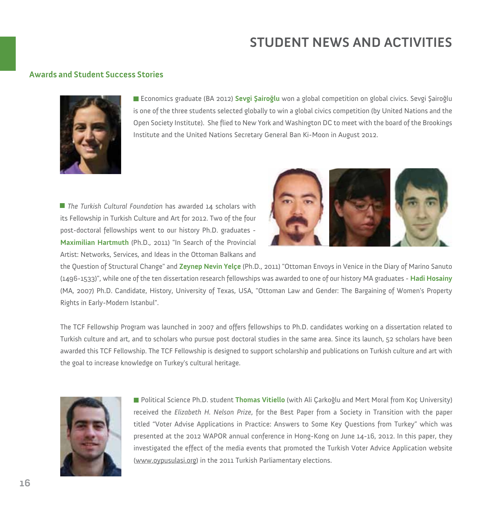#### **Awards and Student Success Stories**



Economics graduate (BA 2012) **Sevgi Şairoğlu** won a global competition on global civics. Sevgi Şairoğlu is one of the three students selected globally to win a global civics competition (by United Nations and the Open Society Institute). She flied to New York and Washington DC to meet with the board of the Brookings Institute and the United Nations Secretary General Ban Ki-Moon in August 2012.

■ *The Turkish Cultural Foundation* has awarded 14 scholars with its Fellowship in Turkish Culture and Art for 2012. Two of the four post-doctoral fellowships went to our history Ph.D. graduates - **Maximilian Hartmuth** (Ph.D., 2011) "In Search of the Provincial Artist: Networks, Services, and Ideas in the Ottoman Balkans and



the Question of Structural Change" and **Zeynep Nevin Yelçe** (Ph.D., 2011) "Ottoman Envoys in Venice in the Diary of Marino Sanuto (1496-1533)", while one of the ten dissertation research fellowships was awarded to one of our history MA graduates - **Hadi Hosainy** (MA, 2007) Ph.D. Candidate, History, University of Texas, USA, "Ottoman Law and Gender: The Bargaining of Women's Property Rights in Early-Modern Istanbul".

The TCF Fellowship Program was launched in 2007 and offers fellowships to Ph.D. candidates working on a dissertation related to Turkish culture and art, and to scholars who pursue post doctoral studies in the same area. Since its launch, 52 scholars have been awarded this TCF Fellowship. The TCF Fellowship is designed to support scholarship and publications on Turkish culture and art with the goal to increase knowledge on Turkey's cultural heritage.



Political Science Ph.D. student **Thomas Vitiello** (with Ali Çarkoğlu and Mert Moral from Koç University) received the *Elizabeth H. Nelson Prize*, for the Best Paper from a Society in Transition with the paper titled "Voter Advise Applications in Practice: Answers to Some Key Questions from Turkey" which was presented at the 2012 WAPOR annual conference in Hong-Kong on June 14-16, 2012. In this paper, they investigated the effect of the media events that promoted the Turkish Voter Advice Application website (www.oypusulasi.org) in the 2011 Turkish Parliamentary elections.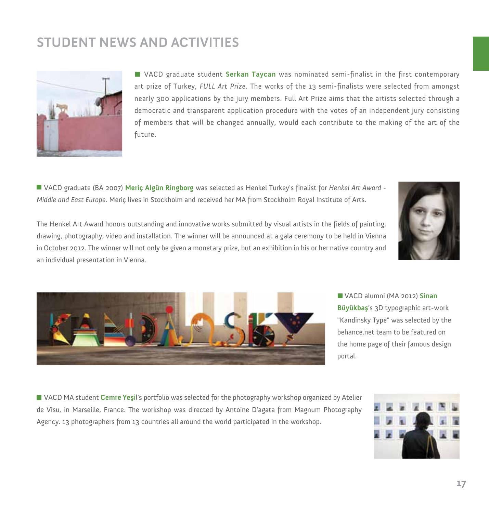

VACD graduate student **Serkan Taycan** was nominated semi-finalist in the first contemporary art prize of Turkey, *FULL Art Prize*. The works of the 13 semi-finalists were selected from amongst nearly 300 applications by the jury members. Full Art Prize aims that the artists selected through a democratic and transparent application procedure with the votes of an independent jury consisting of members that will be changed annually, would each contribute to the making of the art of the future.

VACD graduate (BA 2007) **Meriç Algün Ringborg** was selected as Henkel Turkey's finalist for *Henkel Art Award - Middle and East Europe*. Meriç lives in Stockholm and received her MA from Stockholm Royal Institute of Arts.

The Henkel Art Award honors outstanding and innovative works submitted by visual artists in the fields of painting, drawing, photography, video and installation. The winner will be announced at a gala ceremony to be held in Vienna in October 2012. The winner will not only be given a monetary prize, but an exhibition in his or her native country and an individual presentation in Vienna.





VACD alumni (MA 2012) **Sinan Büyükbaş**'s 3D typographic art-work "Kandinsky Type" was selected by the behance.net team to be featured on the home page of their famous design portal.

VACD MA student **Cemre Yeşi**l's portfolio was selected for the photography workshop organized by Atelier de Visu, in Marseille, France. The workshop was directed by Antoine D'agata from Magnum Photography Agency. 13 photographers from 13 countries all around the world participated in the workshop.

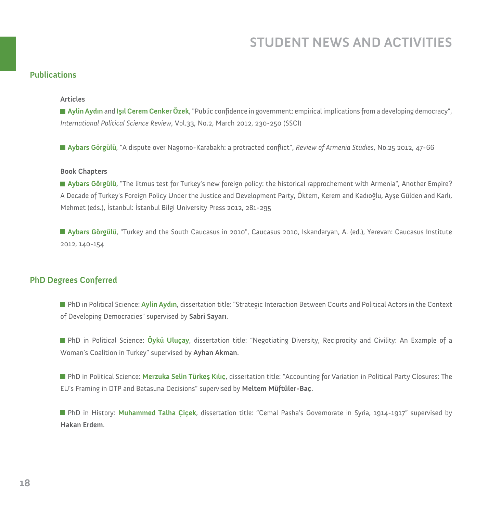#### **Publications**

#### **Articles**

**Aylin Aydın** and **Işıl Cerem Cenker Özek**, "Public confidence in government: empirical implications from a developing democracy", *International Political Science Review*, Vol.33, No.2, March 2012, 230-250 (SSCI)

**Aybars Görgülü**, "A dispute over Nagorno-Karabakh: a protracted conflict", *Review of Armenia Studies*, No.25 2012, 47-66

#### **Book Chapters**

**Aybars Görgülü**, "The litmus test for Turkey's new foreign policy: the historical rapprochement with Armenia", Another Empire? A Decade of Turkey's Foreign Policy Under the Justice and Development Party, Öktem, Kerem and Kadıoğlu, Ayşe Gülden and Karlı, Mehmet (eds.), İstanbul: İstanbul Bilgi University Press 2012, 281-295

**Aybars Görgülü**, "Turkey and the South Caucasus in 2010", Caucasus 2010, Iskandaryan, A. (ed.), Yerevan: Caucasus Institute 2012, 140-154

#### **PhD Degrees Conferred**

**PhD** in Political Science: Aylin Aydın, dissertation title: "Strategic Interaction Between Courts and Political Actors in the Context of Developing Democracies" supervised by **Sabri Sayarı**.

PhD in Political Science: **Öykü Uluçay**, dissertation title: "Negotiating Diversity, Reciprocity and Civility: An Example of a Woman's Coalition in Turkey" supervised by **Ayhan Akman**.

PhD in Political Science: **Merzuka Selin Türkeş Kılıç**, dissertation title: "Accounting for Variation in Political Party Closures: The EU's Framing in DTP and Batasuna Decisions" supervised by **Meltem Müftüler-Baç**.

PhD in History: **Muhammed Talha Çiçek**, dissertation title: "Cemal Pasha's Governorate in Syria, 1914-1917" supervised by **Hakan Erdem**.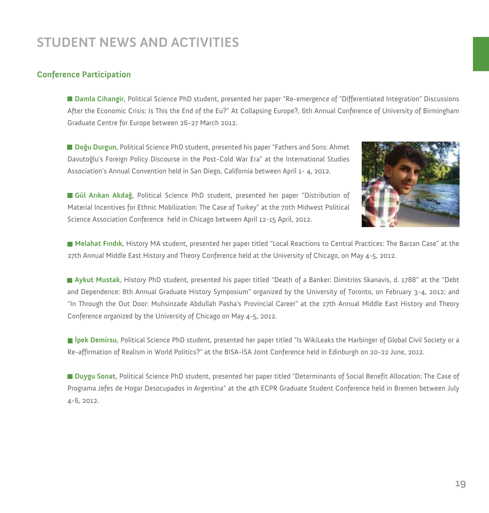#### **Conference Participation**

**Damla Cihangir**, Political Science PhD student, presented her paper "Re-emergence of "Differentiated Integration" Discussions After the Economic Crisis: Is This the End of the Eu?" At Collapsing Europe?, 6th Annual Conference of University of Birmingham Graduate Centre for Europe between 26-27 March 2012.

**Doğu Durgun**, Political Science PhD student, presented his paper "Fathers and Sons: Ahmet Davutoğlu's Foreign Policy Discourse in the Post-Cold War Era" at the International Studies Association's Annual Convention held in San Diego, California between April 1- 4, 2012.



**Gül Arıkan Akdağ**, Political Science PhD student, presented her paper "Distribution of Material Incentives for Ethnic Mobilization: The Case of Turkey" at the 70th Midwest Political Science Association Conference held in Chicago between April 12-15 April, 2012.

**Melahat Fındık**, History MA student, presented her paper titled "Local Reactions to Central Practices: The Barzan Case" at the 27th Annual Middle East History and Theory Conference held at the University of Chicago, on May 4-5, 2012.

**Aykut Mustak**, History PhD student, presented his paper titled "Death of a Banker: Dimitrios Skanavis, d. 1788" at the "Debt and Dependence: 8th Annual Graduate History Symposium" organized by the University of Toronto, on February 3-4, 2012; and "In Through the Out Door: Muhsinzade Abdullah Pasha's Provincial Career" at the 27th Annual Middle East History and Theory Conference organized by the University of Chicago on May 4-5, 2012.

**İpek Demirsu**, Political Science PhD student, presented her paper titled "Is WikiLeaks the Harbinger of Global Civil Society or a Re-affirmation of Realism in World Politics?" at the BISA-ISA Joint Conference held in Edinburgh on 20-22 June, 2012.

**Duygu Sonat**, Political Science PhD student, presented her paper titled "Determinants of Social Benefit Allocation: The Case of Programa Jefes de Hogar Desocupados in Argentina" at the 4th ECPR Graduate Student Conference held in Bremen between July 4-6, 2012.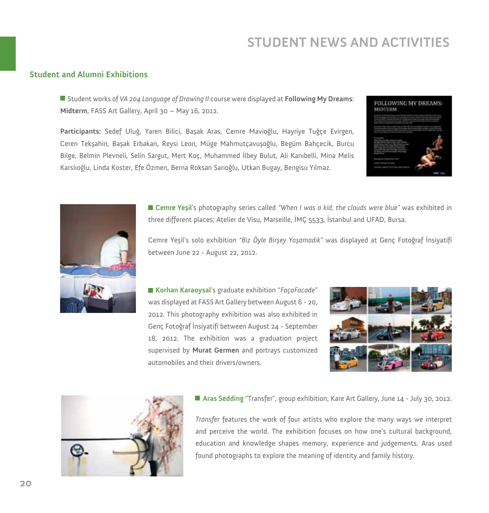#### **Student and Alumni Exhibitions**

Student works of *VA 204 Language of Drawing II* course were displayed at **Following My Dreams**: **Midterm**, FASS Art Gallery, April 30 – May 16, 2012.

**Participants:** Sedef Uluğ, Yaren Bilici, Başak Aras, Cemre Mavioğlu, Hayriye Tuğçe Evirgen, Ceren Tekşahin, Başak Erbakan, Reysi Leon, Müge Mahmutçavuşoğlu, Begüm Bahçecik, Burcu Bilge, Belmin Plevneli, Selin Sargut, Mert Koç, Muhammed İlbey Bulut, Ali Kanıbelli, Mina Melis Karslıoğlu, Linda Koster, Efe Özmen, Berna Roksan Sarıoğlu, Utkan Bugay, Bengisu Yılmaz.





**Cemre Yeşil**'s photography series called *"When I was a kid, the clouds were blue"* was exhibited in three different places; Atelier de Visu, Marseille, İMÇ 5533, İstanbul and UFAD, Bursa.

Cemre Yeşil's solo exhibition *"Biz Öyle Birşey Yaşamadık"* was displayed at Genç Fotoğraf İnsiyatifi between June 22 - August 22, 2012.

**Korhan Karaoysal**'s graduate exhibition "*FaçaFacade*" was displayed at FASS Art Gallery between August 6 - 20, 2012. This photography exhibition was also exhibited in Genç Fotoğraf İnsiyatifi between August 24 - September 18, 2012. The exhibition was a graduation project supervised by **Murat Germen** and portrays customized automobiles and their drivers/owners.





**Aras Sedding** "Transfer", group exhibition, Kare Art Gallery, June 14 - July 30, 2012.

*Transfer* features the work of four artists who explore the many ways we interpret and perceive the world. The exhibition focuses on how one's cultural background, education and knowledge shapes memory, experience and judgements. Aras used found photographs to explore the meaning of identity and family history.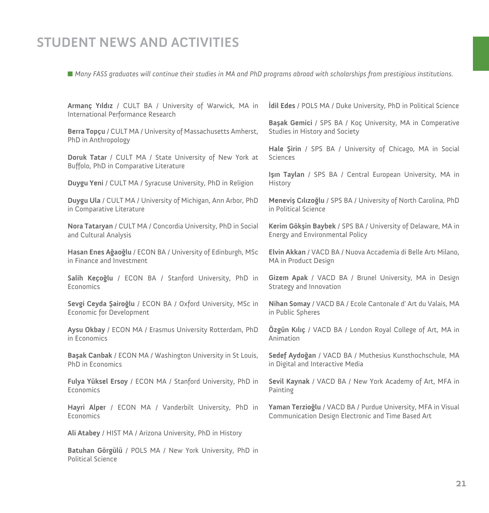*Many FASS graduates will continue their studies in MA and PhD programs abroad with scholarships from prestigious institutions.*

| Armanç Yıldız / CULT BA / University of Warwick, MA in<br>International Performance Research | <b>Idil Edes</b> / POLS MA / Duke University, PhD in Political Science       |
|----------------------------------------------------------------------------------------------|------------------------------------------------------------------------------|
| Berra Topçu / CULT MA / University of Massachusetts Amherst,                                 | Başak Gemici / SPS BA / Koç University, MA in Comperative                    |
| PhD in Anthropology                                                                          | Studies in History and Society                                               |
| Doruk Tatar / CULT MA / State University of New York at                                      | Hale Sirin / SPS BA / University of Chicago, MA in Social<br><b>Sciences</b> |
| Buffolo, PhD in Comparative Literature                                                       | Isin Taylan / SPS BA / Central European University, MA in                    |
| Duygu Yeni / CULT MA / Syracuse University, PhD in Religion                                  | History                                                                      |
| Duygu Ula / CULT MA / University of Michigan, Ann Arbor, PhD                                 | Menevis Cilizoğlu / SPS BA / University of North Carolina, PhD               |
| in Comparative Literature                                                                    | in Political Science                                                         |
| Nora Tataryan / CULT MA / Concordia University, PhD in Social                                | Kerim Gökşin Baybek / SPS BA / University of Delaware, MA in                 |
| and Cultural Analysis                                                                        | Energy and Environmental Policy                                              |
| Hasan Enes Ağaoğlu / ECON BA / University of Edinburgh, MSc                                  | Elvin Akkan / VACD BA / Nuova Accademia di Belle Arti Milano,                |
| in Finance and Investment                                                                    | MA in Product Design                                                         |
| Salih Keçoğlu / ECON BA / Stanford University, PhD in                                        | Gizem Apak / VACD BA / Brunel University, MA in Design                       |
| Economics                                                                                    | Strategy and Innovation                                                      |
| Sevgi Ceyda Şairoğlu / ECON BA / Oxford University, MSc in                                   | Nihan Somay / VACD BA / Ecole Cantonale d'Art du Valais, MA                  |
| Economic for Development                                                                     | in Public Spheres                                                            |
| Aysu Okbay / ECON MA / Erasmus University Rotterdam, PhD                                     | Özgün Kılıç / VACD BA / London Royal College of Art, MA in                   |
| in Economics                                                                                 | Animation                                                                    |
| Başak Canbak / ECON MA / Washington University in St Louis,                                  | Sedef Aydoğan / VACD BA / Muthesius Kunsthochschule, MA                      |
| PhD in Economics                                                                             | in Digital and Interactive Media                                             |
| Fulya Yüksel Ersoy / ECON MA / Stanford University, PhD in                                   | Sevil Kaynak / VACD BA / New York Academy of Art, MFA in                     |
| Economics                                                                                    | Painting                                                                     |
| Hayri Alper / ECON MA / Vanderbilt University, PhD in                                        | Yaman Terzioğlu / VACD BA / Purdue University, MFA in Visual                 |
| Economics                                                                                    | Communication Design Electronic and Time Based Art                           |
| Ali Atabey / HIST MA / Arizona University, PhD in History                                    |                                                                              |

**Batuhan Görgülü** / POLS MA / New York University, PhD in Political Science